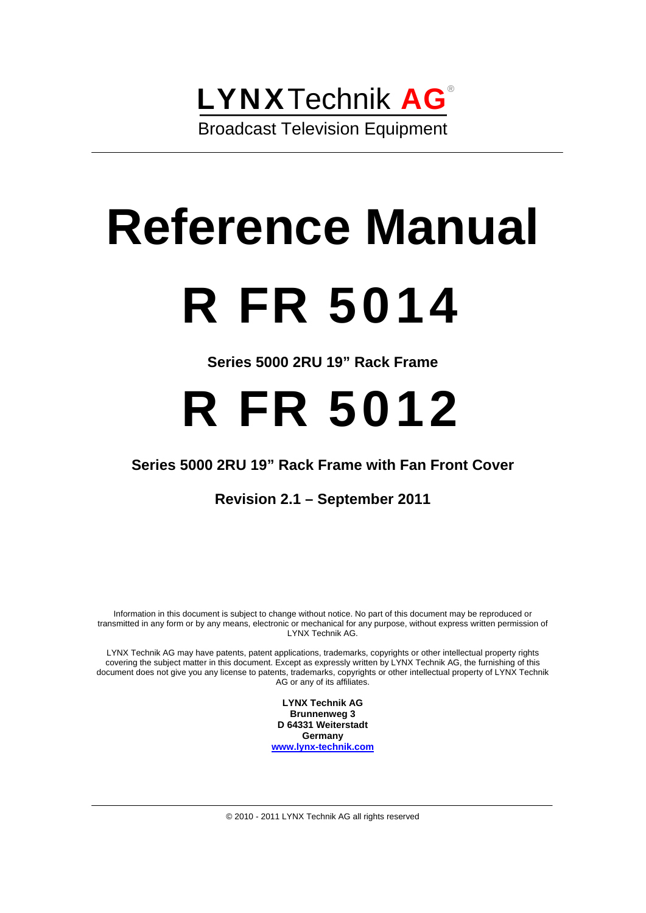# LYNXTechnik AG® Broadcast Television Equipment

# **Reference Manual**  R FR 5014

**Series 5000 2RU 19" Rack Frame** 

# R FR 5012

## **Series 5000 2RU 19" Rack Frame with Fan Front Cover**

**Revision 2.1 – September 2011** 

Information in this document is subject to change without notice. No part of this document may be reproduced or transmitted in any form or by any means, electronic or mechanical for any purpose, without express written permission of LYNX Technik AG.

LYNX Technik AG may have patents, patent applications, trademarks, copyrights or other intellectual property rights covering the subject matter in this document. Except as expressly written by LYNX Technik AG, the furnishing of this document does not give you any license to patents, trademarks, copyrights or other intellectual property of LYNX Technik AG or any of its affiliates.

> **LYNX Technik AG Brunnenweg 3 D 64331 Weiterstadt Germany www.lynx-technik.com**

© 2010 - 2011 LYNX Technik AG all rights reserved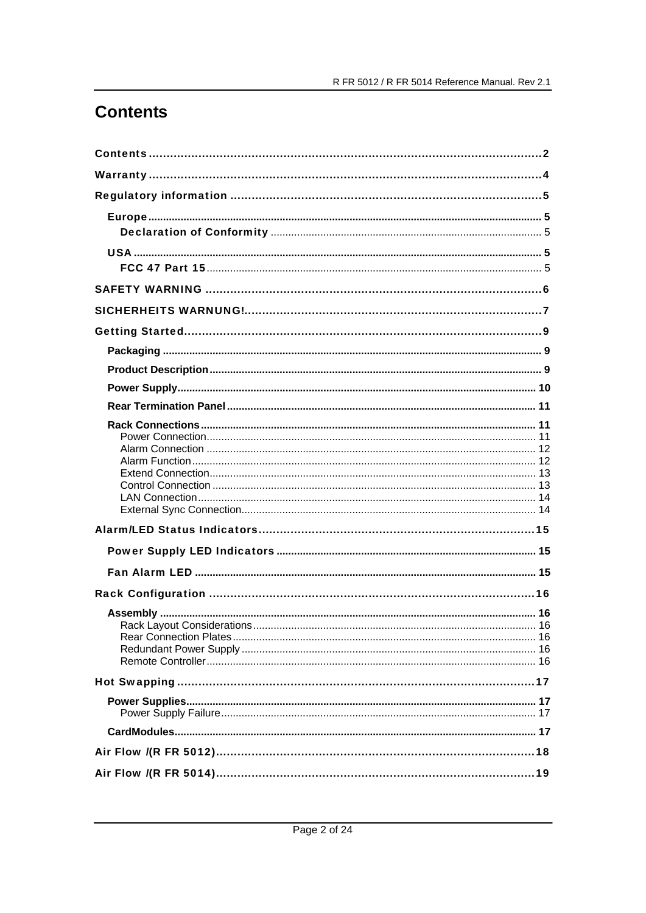# **Contents**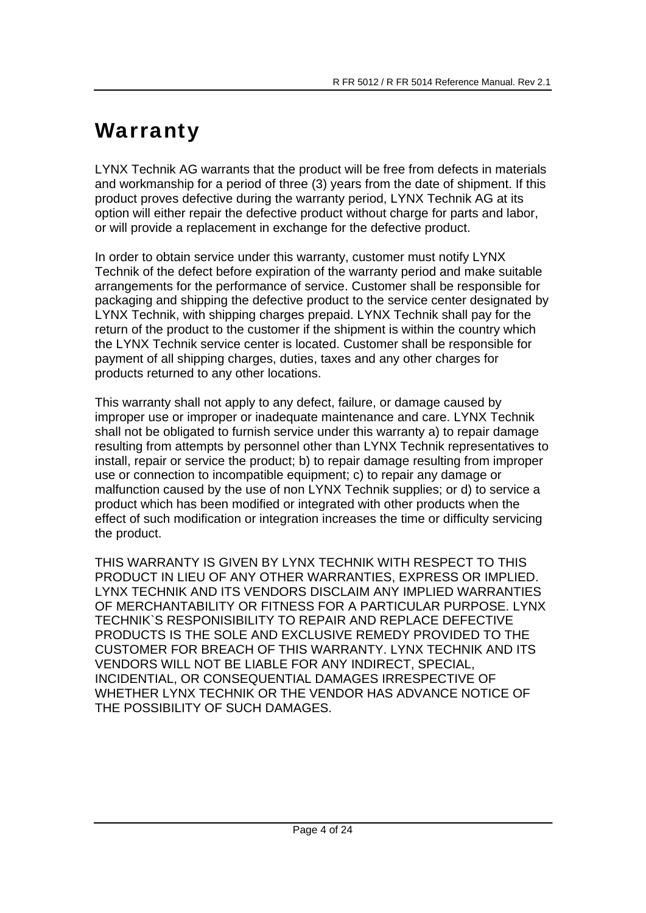# **Warranty**

LYNX Technik AG warrants that the product will be free from defects in materials and workmanship for a period of three (3) years from the date of shipment. If this product proves defective during the warranty period, LYNX Technik AG at its option will either repair the defective product without charge for parts and labor, or will provide a replacement in exchange for the defective product.

In order to obtain service under this warranty, customer must notify LYNX Technik of the defect before expiration of the warranty period and make suitable arrangements for the performance of service. Customer shall be responsible for packaging and shipping the defective product to the service center designated by LYNX Technik, with shipping charges prepaid. LYNX Technik shall pay for the return of the product to the customer if the shipment is within the country which the LYNX Technik service center is located. Customer shall be responsible for payment of all shipping charges, duties, taxes and any other charges for products returned to any other locations.

This warranty shall not apply to any defect, failure, or damage caused by improper use or improper or inadequate maintenance and care. LYNX Technik shall not be obligated to furnish service under this warranty a) to repair damage resulting from attempts by personnel other than LYNX Technik representatives to install, repair or service the product; b) to repair damage resulting from improper use or connection to incompatible equipment; c) to repair any damage or malfunction caused by the use of non LYNX Technik supplies; or d) to service a product which has been modified or integrated with other products when the effect of such modification or integration increases the time or difficulty servicing the product.

THIS WARRANTY IS GIVEN BY LYNX TECHNIK WITH RESPECT TO THIS PRODUCT IN LIEU OF ANY OTHER WARRANTIES, EXPRESS OR IMPLIED. LYNX TECHNIK AND ITS VENDORS DISCLAIM ANY IMPLIED WARRANTIES OF MERCHANTABILITY OR FITNESS FOR A PARTICULAR PURPOSE. LYNX TECHNIK`S RESPONISIBILITY TO REPAIR AND REPLACE DEFECTIVE PRODUCTS IS THE SOLE AND EXCLUSIVE REMEDY PROVIDED TO THE CUSTOMER FOR BREACH OF THIS WARRANTY. LYNX TECHNIK AND ITS VENDORS WILL NOT BE LIABLE FOR ANY INDIRECT, SPECIAL, INCIDENTIAL, OR CONSEQUENTIAL DAMAGES IRRESPECTIVE OF WHETHER LYNX TECHNIK OR THE VENDOR HAS ADVANCE NOTICE OF THE POSSIBILITY OF SUCH DAMAGES.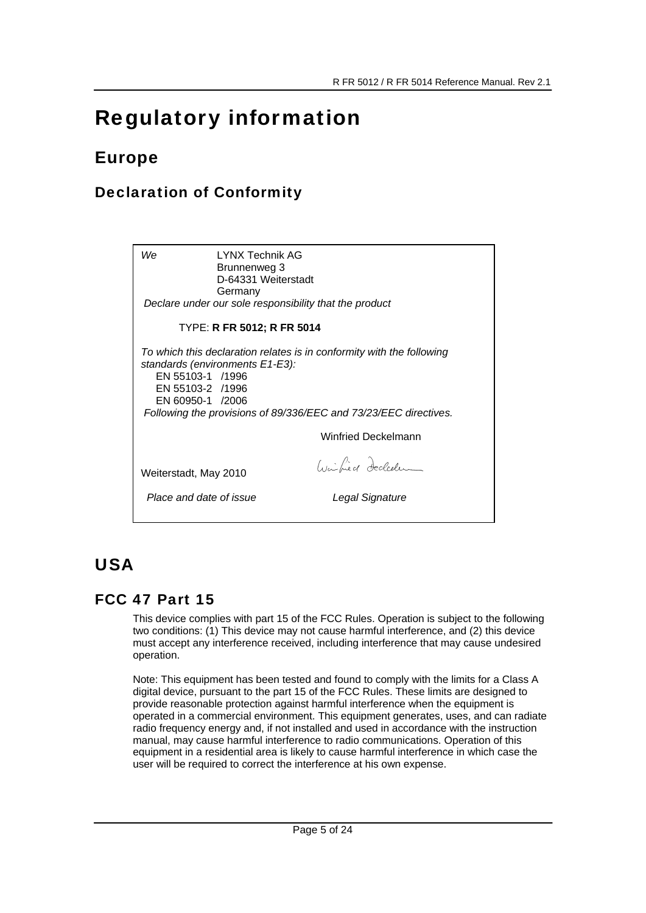# Regulatory information

# Europe

## Declaration of Conformity

*We* LYNX Technik AG Brunnenweg 3 D-64331 Weiterstadt Germany *Declare under our sole responsibility that the product* TYPE: **R FR 5012; R FR 5014** *To which this declaration relates is in conformity with the following standards (environments E1-E3):*  EN 55103-1 /1996 EN 55103-2 /1996 EN 60950-1 /2006 *Following the provisions of 89/336/EEC and 73/23/EEC directives.*  Winfried Deckelmann Calcilier decleden Weiterstadt, May 2010  *Place and date of issue Legal Signature*

# USA

## FCC 47 Part 15

This device complies with part 15 of the FCC Rules. Operation is subject to the following two conditions: (1) This device may not cause harmful interference, and (2) this device must accept any interference received, including interference that may cause undesired operation.

Note: This equipment has been tested and found to comply with the limits for a Class A digital device, pursuant to the part 15 of the FCC Rules. These limits are designed to provide reasonable protection against harmful interference when the equipment is operated in a commercial environment. This equipment generates, uses, and can radiate radio frequency energy and, if not installed and used in accordance with the instruction manual, may cause harmful interference to radio communications. Operation of this equipment in a residential area is likely to cause harmful interference in which case the user will be required to correct the interference at his own expense.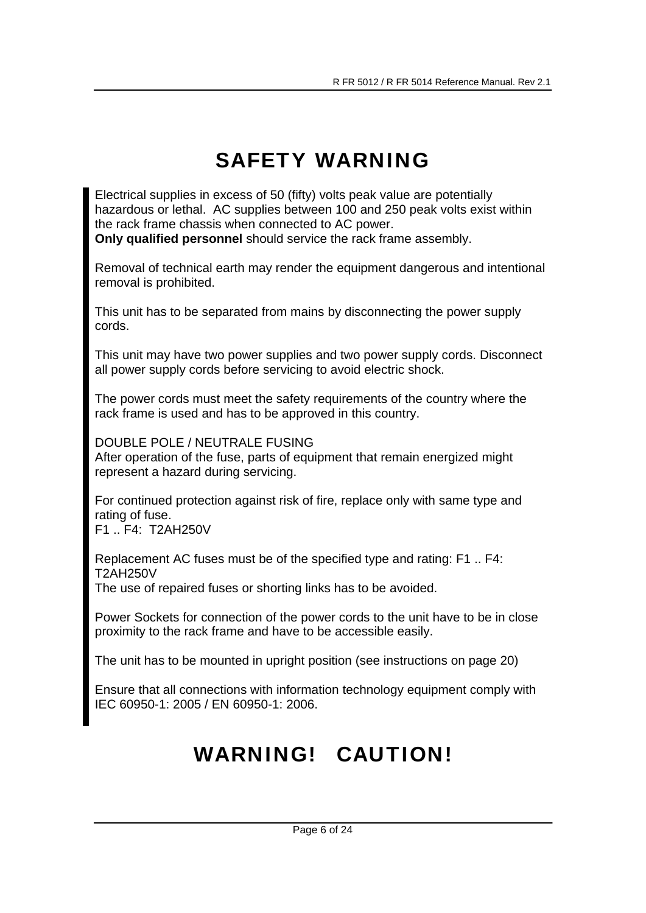# SAFETY WARNING

Electrical supplies in excess of 50 (fifty) volts peak value are potentially hazardous or lethal. AC supplies between 100 and 250 peak volts exist within the rack frame chassis when connected to AC power. **Only qualified personnel** should service the rack frame assembly.

Removal of technical earth may render the equipment dangerous and intentional removal is prohibited.

This unit has to be separated from mains by disconnecting the power supply cords.

This unit may have two power supplies and two power supply cords. Disconnect all power supply cords before servicing to avoid electric shock.

The power cords must meet the safety requirements of the country where the rack frame is used and has to be approved in this country.

DOUBLE POLE / NEUTRALE FUSING

After operation of the fuse, parts of equipment that remain energized might represent a hazard during servicing.

For continued protection against risk of fire, replace only with same type and rating of fuse.

F1 .. F4: T2AH250V

Replacement AC fuses must be of the specified type and rating: F1 .. F4: T2AH250V The use of repaired fuses or shorting links has to be avoided.

Power Sockets for connection of the power cords to the unit have to be in close proximity to the rack frame and have to be accessible easily.

The unit has to be mounted in upright position (see instructions on page 20)

Ensure that all connections with information technology equipment comply with IEC 60950-1: 2005 / EN 60950-1: 2006.

# WARNING! CAUTION!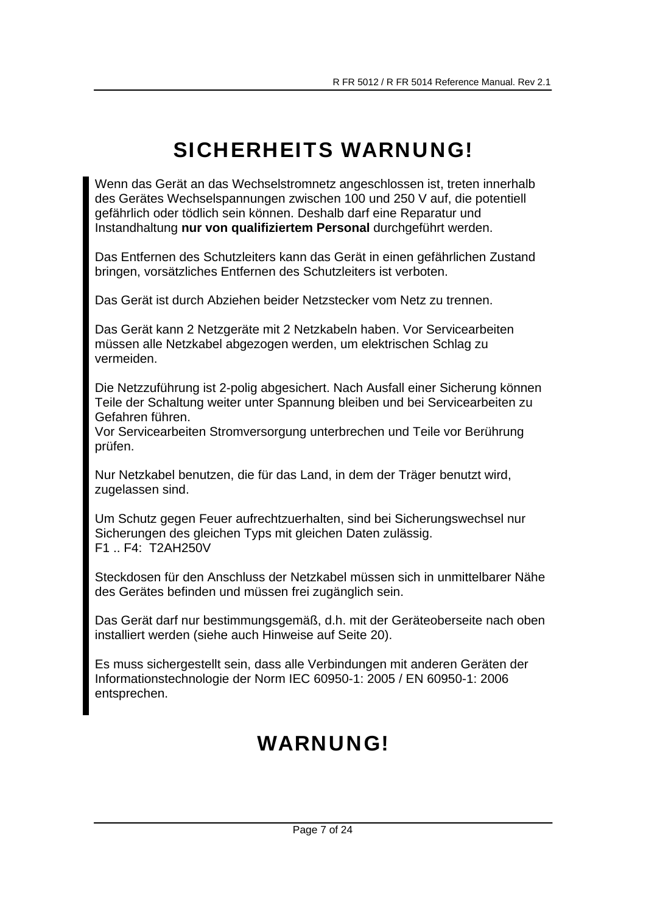# SICHERHEITS WARNUNG!

Wenn das Gerät an das Wechselstromnetz angeschlossen ist, treten innerhalb des Gerätes Wechselspannungen zwischen 100 und 250 V auf, die potentiell gefährlich oder tödlich sein können. Deshalb darf eine Reparatur und Instandhaltung **nur von qualifiziertem Personal** durchgeführt werden.

Das Entfernen des Schutzleiters kann das Gerät in einen gefährlichen Zustand bringen, vorsätzliches Entfernen des Schutzleiters ist verboten.

Das Gerät ist durch Abziehen beider Netzstecker vom Netz zu trennen.

Das Gerät kann 2 Netzgeräte mit 2 Netzkabeln haben. Vor Servicearbeiten müssen alle Netzkabel abgezogen werden, um elektrischen Schlag zu vermeiden.

Die Netzzuführung ist 2-polig abgesichert. Nach Ausfall einer Sicherung können Teile der Schaltung weiter unter Spannung bleiben und bei Servicearbeiten zu Gefahren führen.

Vor Servicearbeiten Stromversorgung unterbrechen und Teile vor Berührung prüfen.

Nur Netzkabel benutzen, die für das Land, in dem der Träger benutzt wird, zugelassen sind.

Um Schutz gegen Feuer aufrechtzuerhalten, sind bei Sicherungswechsel nur Sicherungen des gleichen Typs mit gleichen Daten zulässig. F1 .. F4: T2AH250V

Steckdosen für den Anschluss der Netzkabel müssen sich in unmittelbarer Nähe des Gerätes befinden und müssen frei zugänglich sein.

Das Gerät darf nur bestimmungsgemäß, d.h. mit der Geräteoberseite nach oben installiert werden (siehe auch Hinweise auf Seite 20).

Es muss sichergestellt sein, dass alle Verbindungen mit anderen Geräten der Informationstechnologie der Norm IEC 60950-1: 2005 / EN 60950-1: 2006 entsprechen.

# WARNUNG!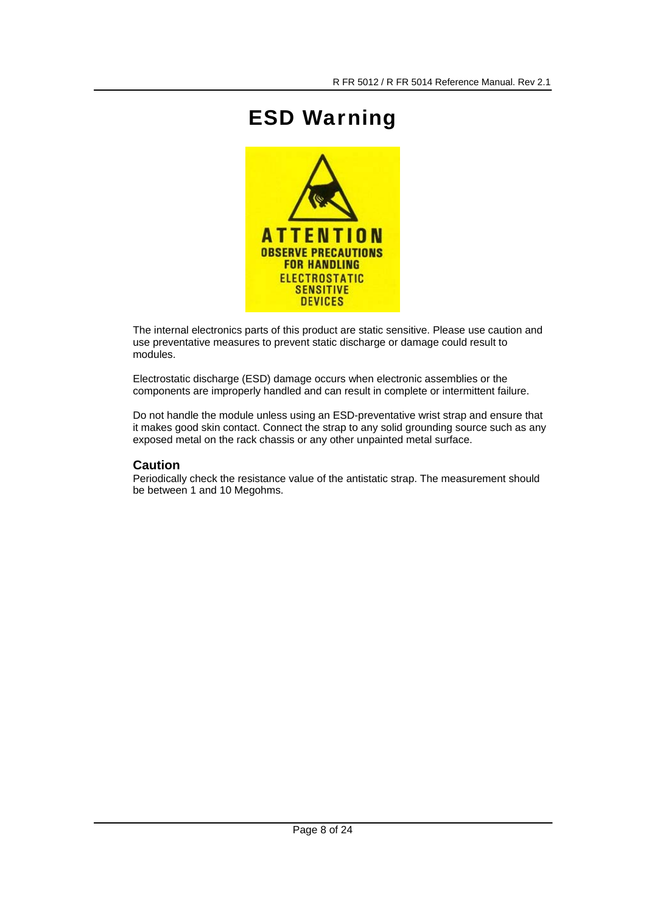# ESD Warning



The internal electronics parts of this product are static sensitive. Please use caution and use preventative measures to prevent static discharge or damage could result to modules.

Electrostatic discharge (ESD) damage occurs when electronic assemblies or the components are improperly handled and can result in complete or intermittent failure.

Do not handle the module unless using an ESD-preventative wrist strap and ensure that it makes good skin contact. Connect the strap to any solid grounding source such as any exposed metal on the rack chassis or any other unpainted metal surface.

#### **Caution**

Periodically check the resistance value of the antistatic strap. The measurement should be between 1 and 10 Megohms.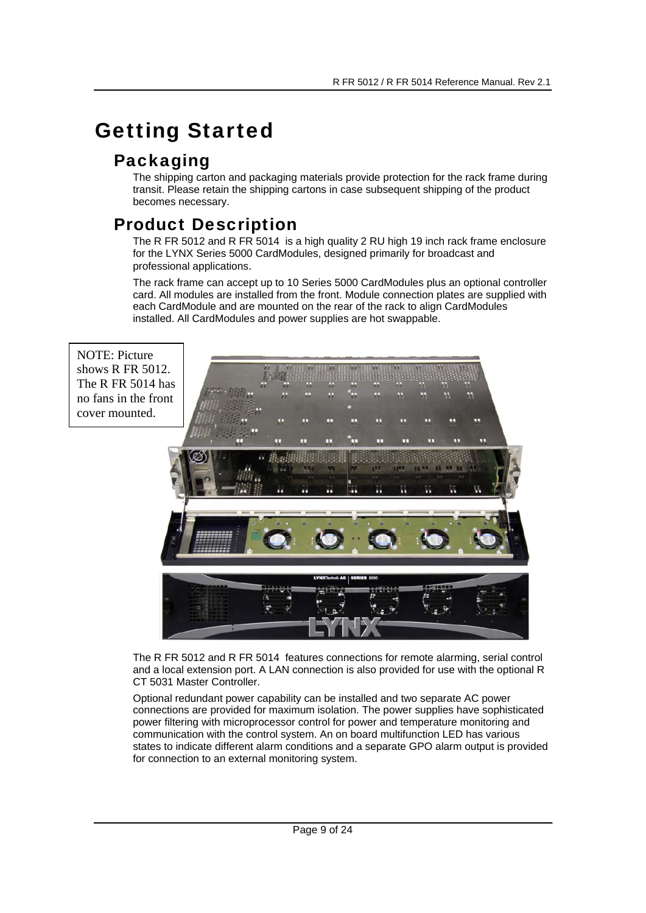# Getting Started

## Packaging

The shipping carton and packaging materials provide protection for the rack frame during transit. Please retain the shipping cartons in case subsequent shipping of the product becomes necessary.

## Product Description

The R FR 5012 and R FR 5014 is a high quality 2 RU high 19 inch rack frame enclosure for the LYNX Series 5000 CardModules, designed primarily for broadcast and professional applications.

The rack frame can accept up to 10 Series 5000 CardModules plus an optional controller card. All modules are installed from the front. Module connection plates are supplied with each CardModule and are mounted on the rear of the rack to align CardModules installed. All CardModules and power supplies are hot swappable.

NOTE: Picture shows R FR 5012. The R FR 5014 has no fans in the front cover mounted.



The R FR 5012 and R FR 5014 features connections for remote alarming, serial control and a local extension port. A LAN connection is also provided for use with the optional R CT 5031 Master Controller.

Optional redundant power capability can be installed and two separate AC power connections are provided for maximum isolation. The power supplies have sophisticated power filtering with microprocessor control for power and temperature monitoring and communication with the control system. An on board multifunction LED has various states to indicate different alarm conditions and a separate GPO alarm output is provided for connection to an external monitoring system.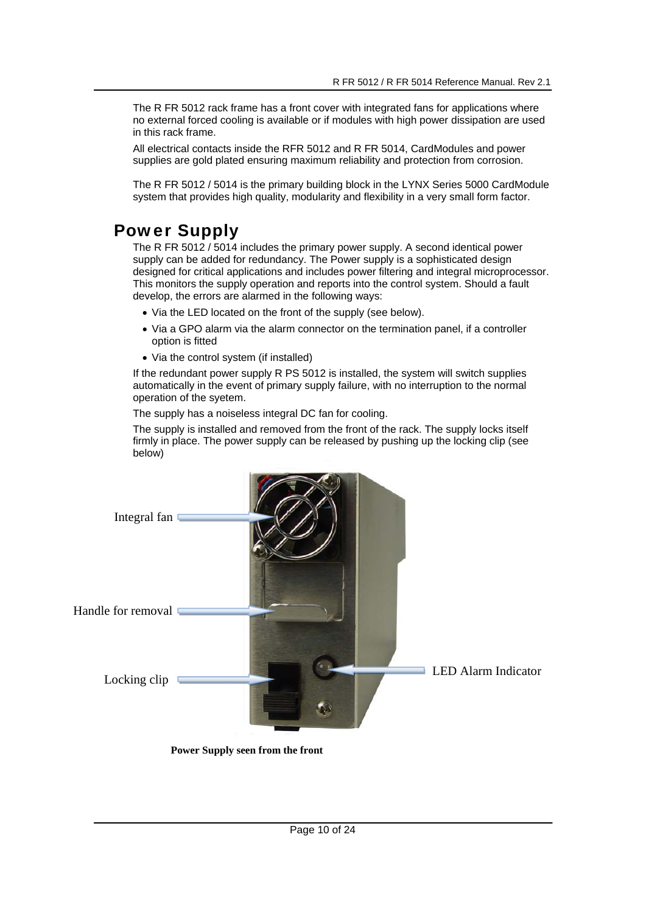The R FR 5012 rack frame has a front cover with integrated fans for applications where no external forced cooling is available or if modules with high power dissipation are used in this rack frame.

All electrical contacts inside the RFR 5012 and R FR 5014, CardModules and power supplies are gold plated ensuring maximum reliability and protection from corrosion.

The R FR 5012 / 5014 is the primary building block in the LYNX Series 5000 CardModule system that provides high quality, modularity and flexibility in a very small form factor.

## Power Supply

The R FR 5012 / 5014 includes the primary power supply. A second identical power supply can be added for redundancy. The Power supply is a sophisticated design designed for critical applications and includes power filtering and integral microprocessor. This monitors the supply operation and reports into the control system. Should a fault develop, the errors are alarmed in the following ways:

- Via the LED located on the front of the supply (see below).
- Via a GPO alarm via the alarm connector on the termination panel, if a controller option is fitted
- Via the control system (if installed)

If the redundant power supply R PS 5012 is installed, the system will switch supplies automatically in the event of primary supply failure, with no interruption to the normal operation of the syetem.

The supply has a noiseless integral DC fan for cooling.

The supply is installed and removed from the front of the rack. The supply locks itself firmly in place. The power supply can be released by pushing up the locking clip (see below)



 **Power Supply seen from the front**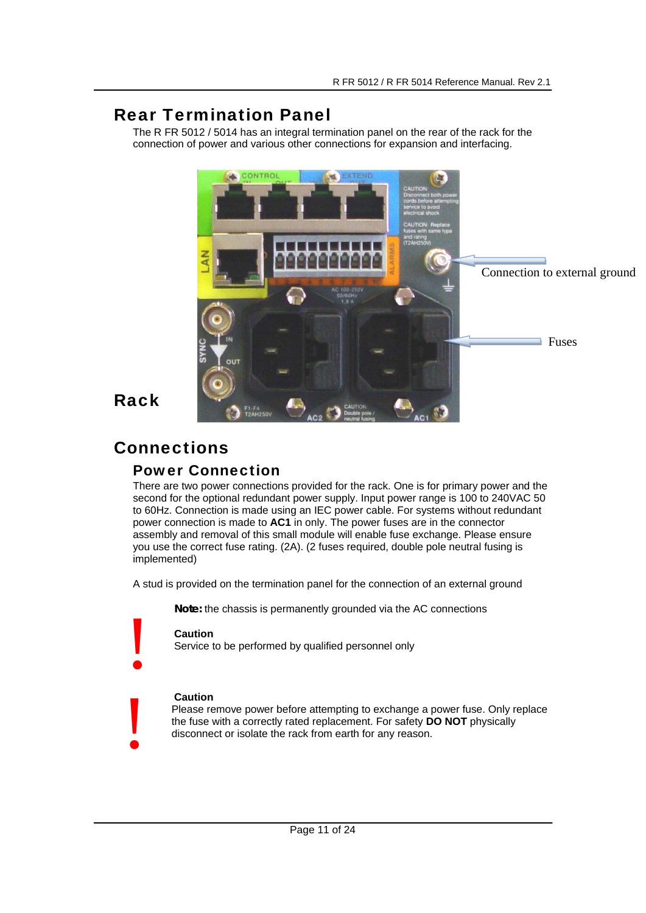## Rear Termination Panel

The R FR 5012 / 5014 has an integral termination panel on the rear of the rack for the connection of power and various other connections for expansion and interfacing.



## Rack

# **Connections**

## Power Connection

There are two power connections provided for the rack. One is for primary power and the second for the optional redundant power supply. Input power range is 100 to 240VAC 50 to 60Hz. Connection is made using an IEC power cable. For systems without redundant power connection is made to **AC1** in only. The power fuses are in the connector assembly and removal of this small module will enable fuse exchange. Please ensure you use the correct fuse rating. (2A). (2 fuses required, double pole neutral fusing is implemented)

A stud is provided on the termination panel for the connection of an external ground

**Note:** the chassis is permanently grounded via the AC connections

#### **Caution**

!

!

Service to be performed by qualified personnel only

#### **Caution**

Please remove power before attempting to exchange a power fuse. Only replace the fuse with a correctly rated replacement. For safety **DO NOT** physically disconnect or isolate the rack from earth for any reason.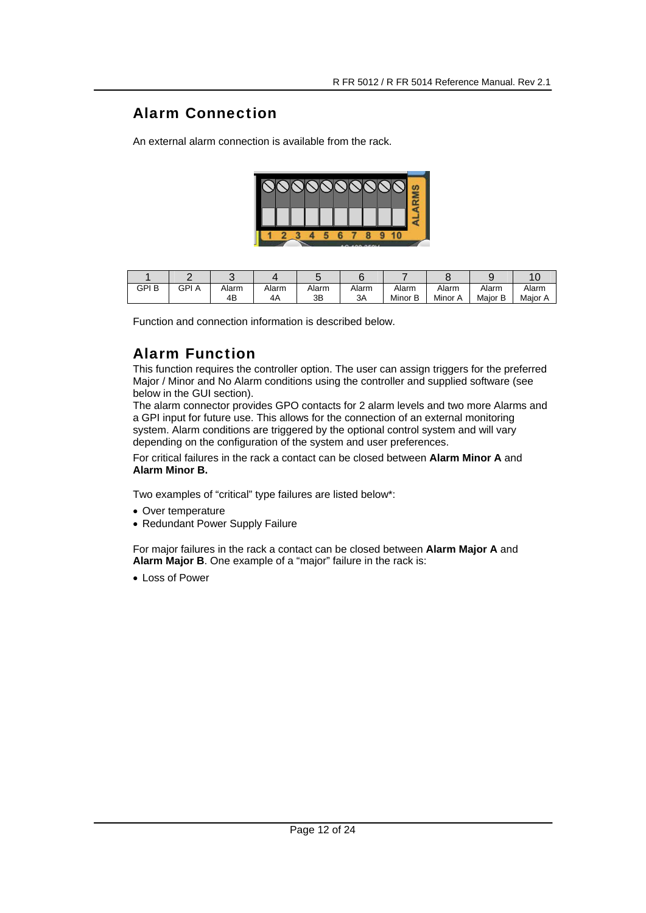## Alarm Connection

An external alarm connection is available from the rack.



| GPI B | GPI<br>ΊA | Alarm | Alarm | Alarm | Alarm | Alarm      | Alarm      | Alarm      | Alarm   |
|-------|-----------|-------|-------|-------|-------|------------|------------|------------|---------|
|       |           | 4B    | 4A    | ЗB    | 3A    | B<br>Minor | Minor<br>А | Maior<br>B | Maior A |

Function and connection information is described below.

## Alarm Function

This function requires the controller option. The user can assign triggers for the preferred Major / Minor and No Alarm conditions using the controller and supplied software (see below in the GUI section).

The alarm connector provides GPO contacts for 2 alarm levels and two more Alarms and a GPI input for future use. This allows for the connection of an external monitoring system. Alarm conditions are triggered by the optional control system and will vary depending on the configuration of the system and user preferences.

For critical failures in the rack a contact can be closed between **Alarm Minor A** and **Alarm Minor B.**

Two examples of "critical" type failures are listed below\*:

- Over temperature
- Redundant Power Supply Failure

For major failures in the rack a contact can be closed between **Alarm Major A** and **Alarm Major B**. One example of a "major" failure in the rack is:

• Loss of Power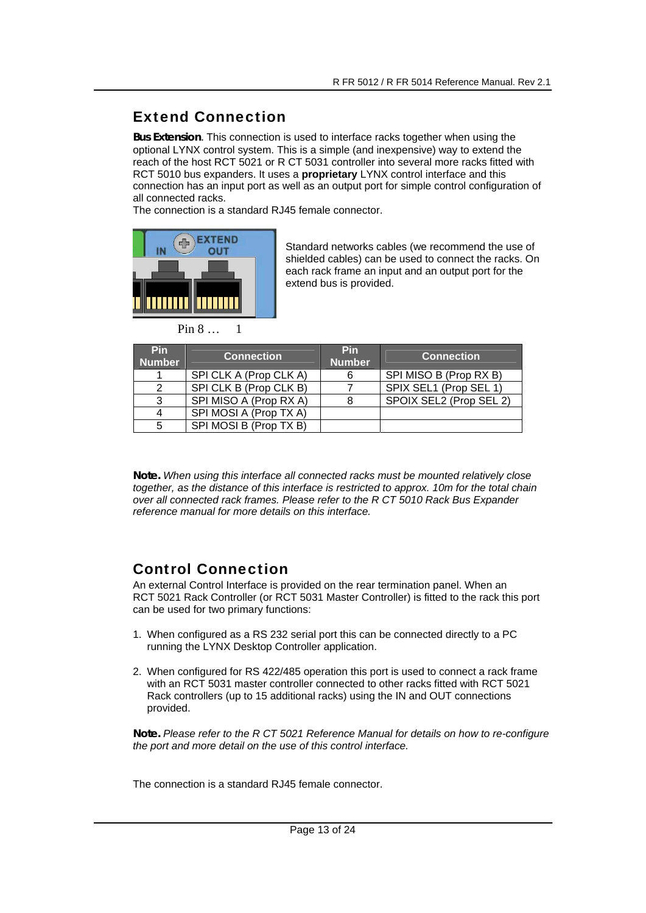## Extend Connection

*Bus Extension*. This connection is used to interface racks together when using the optional LYNX control system. This is a simple (and inexpensive) way to extend the reach of the host RCT 5021 or R CT 5031 controller into several more racks fitted with RCT 5010 bus expanders. It uses a **proprietary** LYNX control interface and this connection has an input port as well as an output port for simple control configuration of all connected racks.

The connection is a standard RJ45 female connector.



Standard networks cables (we recommend the use of shielded cables) can be used to connect the racks. On each rack frame an input and an output port for the extend bus is provided.

Pin 8 1

| <b>Pin</b><br><b>Number</b> | <b>Connection</b>      | <b>Pin</b><br><b>Number</b> | <b>Connection</b>       |
|-----------------------------|------------------------|-----------------------------|-------------------------|
|                             | SPI CLK A (Prop CLK A) |                             | SPI MISO B (Prop RX B)  |
|                             | SPI CLK B (Prop CLK B) |                             | SPIX SEL1 (Prop SEL 1)  |
| 3                           | SPI MISO A (Prop RX A) |                             | SPOIX SEL2 (Prop SEL 2) |
|                             | SPI MOSI A (Prop TX A) |                             |                         |
|                             | SPI MOSI B (Prop TX B) |                             |                         |

**Note.** *When using this interface all connected racks must be mounted relatively close together, as the distance of this interface is restricted to approx. 10m for the total chain over all connected rack frames. Please refer to the R CT 5010 Rack Bus Expander reference manual for more details on this interface.* 

## Control Connection

An external Control Interface is provided on the rear termination panel. When an RCT 5021 Rack Controller (or RCT 5031 Master Controller) is fitted to the rack this port can be used for two primary functions:

- 1. When configured as a RS 232 serial port this can be connected directly to a PC running the LYNX Desktop Controller application.
- 2. When configured for RS 422/485 operation this port is used to connect a rack frame with an RCT 5031 master controller connected to other racks fitted with RCT 5021 Rack controllers (up to 15 additional racks) using the IN and OUT connections provided.

**Note.** *Please refer to the R CT 5021 Reference Manual for details on how to re-configure the port and more detail on the use of this control interface.* 

The connection is a standard RJ45 female connector.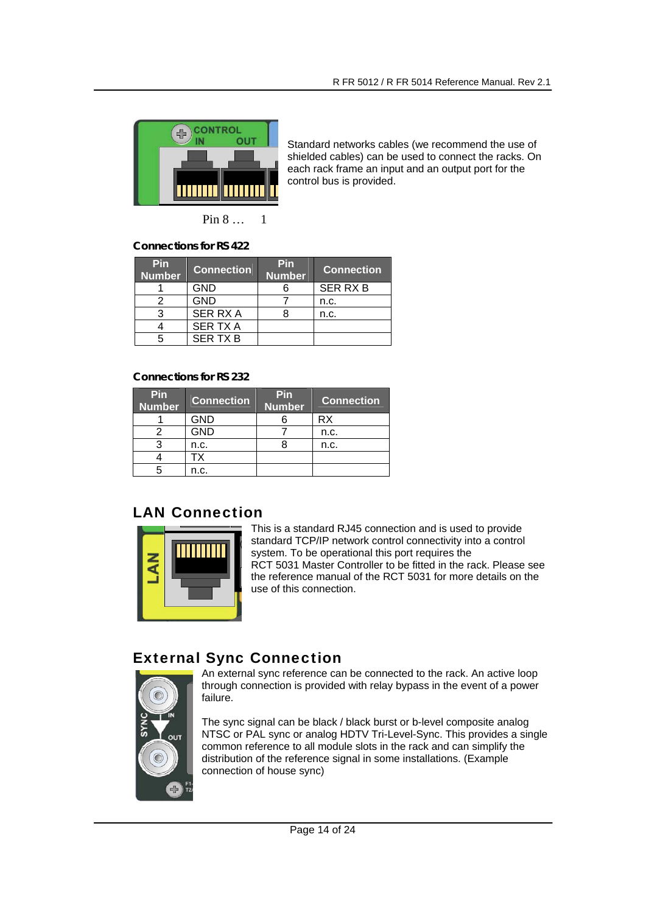

Standard networks cables (we recommend the use of shielded cables) can be used to connect the racks. On each rack frame an input and an output port for the control bus is provided.

Pin 8 … 1

**Connections for RS 422** 

| Pin<br><b>Number</b> | <b>Connection</b> | <b>Pin</b><br><b>Number</b> | <b>Connection</b> |
|----------------------|-------------------|-----------------------------|-------------------|
|                      | <b>GND</b>        |                             | <b>SER RX B</b>   |
|                      | <b>GND</b>        |                             | n.c.              |
|                      | <b>SER RX A</b>   |                             | n.c.              |
|                      | <b>SER TX A</b>   |                             |                   |
|                      | <b>SER TX B</b>   |                             |                   |

#### **Connections for RS 232**

| Pin<br><b>Number</b> | <b>Connection</b> | Pin<br><b>Number</b> | <b>Connection</b> |
|----------------------|-------------------|----------------------|-------------------|
|                      | GND               |                      | <b>RX</b>         |
|                      | <b>GND</b>        |                      | n.c.              |
|                      | n.c.              |                      | n.c.              |
|                      | TХ                |                      |                   |
|                      | n.c.              |                      |                   |

## LAN Connection



This is a standard RJ45 connection and is used to provide standard TCP/IP network control connectivity into a control system. To be operational this port requires the RCT 5031 Master Controller to be fitted in the rack. Please see the reference manual of the RCT 5031 for more details on the use of this connection.

## External Sync Connection



An external sync reference can be connected to the rack. An active loop through connection is provided with relay bypass in the event of a power failure.

The sync signal can be black / black burst or b-level composite analog NTSC or PAL sync or analog HDTV Tri-Level-Sync. This provides a single common reference to all module slots in the rack and can simplify the distribution of the reference signal in some installations. (Example connection of house sync)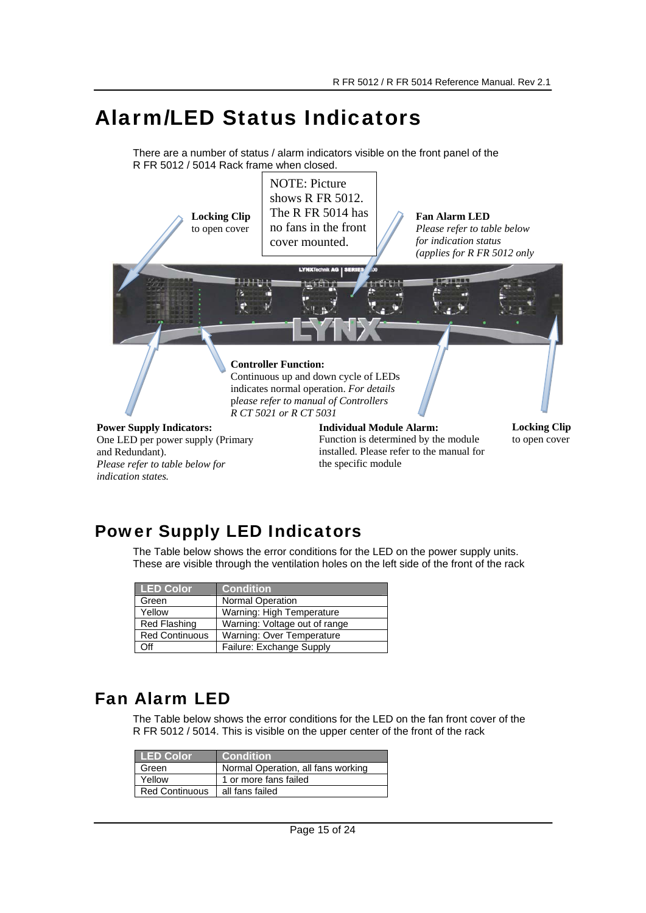# Alarm/LED Status Indicators

There are a number of status / alarm indicators visible on the front panel of the R FR 5012 / 5014 Rack frame when closed.



# Power Supply LED Indicators

The Table below shows the error conditions for the LED on the power supply units. These are visible through the ventilation holes on the left side of the front of the rack

| <b>LED Color</b>      | <b>Condition</b>              |
|-----------------------|-------------------------------|
| Green                 | Normal Operation              |
| Yellow                | Warning: High Temperature     |
| Red Flashing          | Warning: Voltage out of range |
| <b>Red Continuous</b> | Warning: Over Temperature     |
| Off                   | Failure: Exchange Supply      |

# Fan Alarm LED

*indication states.* 

The Table below shows the error conditions for the LED on the fan front cover of the R FR 5012 / 5014. This is visible on the upper center of the front of the rack

| <b>LED Color</b>      | <b>Condition</b>                   |
|-----------------------|------------------------------------|
| Green                 | Normal Operation, all fans working |
| Yellow                | 1 or more fans failed              |
| <b>Red Continuous</b> | all fans failed                    |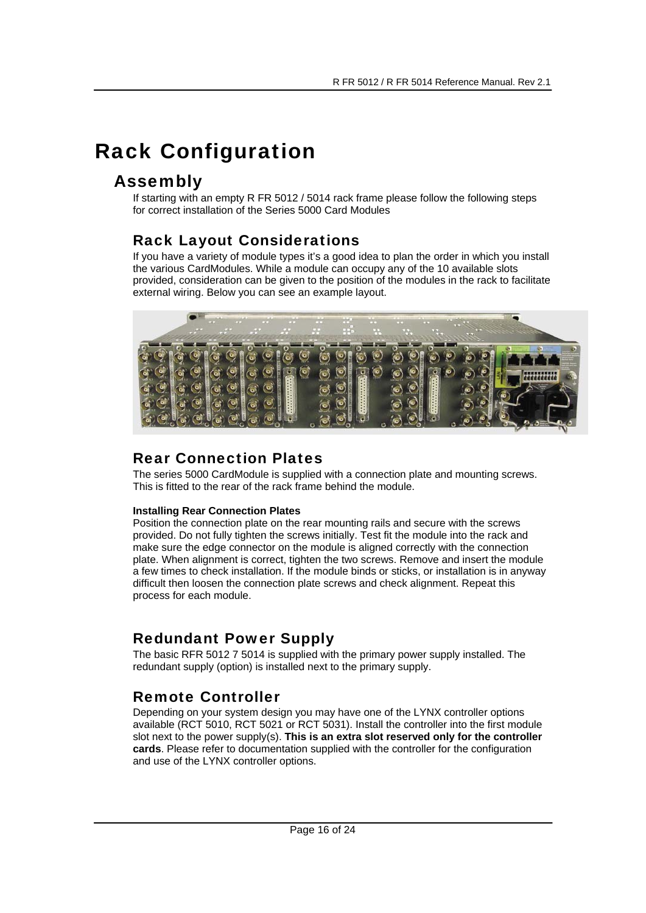# Rack Configuration

## Assembly

If starting with an empty R FR 5012 / 5014 rack frame please follow the following steps for correct installation of the Series 5000 Card Modules

## Rack Layout Considerations

If you have a variety of module types it's a good idea to plan the order in which you install the various CardModules. While a module can occupy any of the 10 available slots provided, consideration can be given to the position of the modules in the rack to facilitate external wiring. Below you can see an example layout.



#### Rear Connection Plates

The series 5000 CardModule is supplied with a connection plate and mounting screws. This is fitted to the rear of the rack frame behind the module.

#### **Installing Rear Connection Plates**

Position the connection plate on the rear mounting rails and secure with the screws provided. Do not fully tighten the screws initially. Test fit the module into the rack and make sure the edge connector on the module is aligned correctly with the connection plate. When alignment is correct, tighten the two screws. Remove and insert the module a few times to check installation. If the module binds or sticks, or installation is in anyway difficult then loosen the connection plate screws and check alignment. Repeat this process for each module.

## Redundant Power Supply

The basic RFR 5012 7 5014 is supplied with the primary power supply installed. The redundant supply (option) is installed next to the primary supply.

## Remote Controller

Depending on your system design you may have one of the LYNX controller options available (RCT 5010, RCT 5021 or RCT 5031). Install the controller into the first module slot next to the power supply(s). **This is an extra slot reserved only for the controller cards**. Please refer to documentation supplied with the controller for the configuration and use of the LYNX controller options.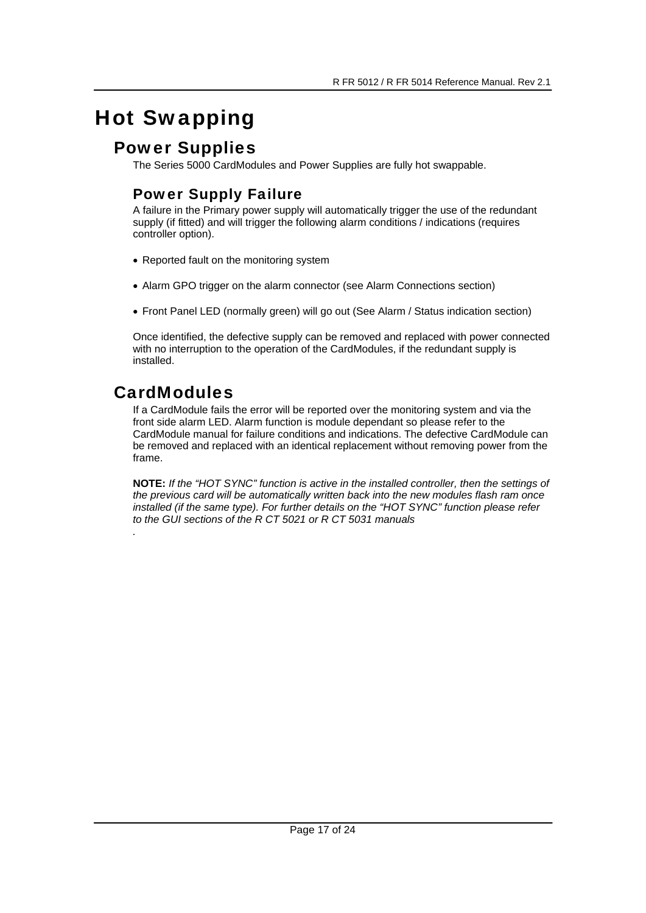# Hot Swapping

## Power Supplies

The Series 5000 CardModules and Power Supplies are fully hot swappable.

## Power Supply Failure

A failure in the Primary power supply will automatically trigger the use of the redundant supply (if fitted) and will trigger the following alarm conditions / indications (requires controller option).

- Reported fault on the monitoring system
- Alarm GPO trigger on the alarm connector (see Alarm Connections section)
- Front Panel LED (normally green) will go out (See Alarm / Status indication section)

Once identified, the defective supply can be removed and replaced with power connected with no interruption to the operation of the CardModules, if the redundant supply is installed.

# CardModules

If a CardModule fails the error will be reported over the monitoring system and via the front side alarm LED. Alarm function is module dependant so please refer to the CardModule manual for failure conditions and indications. The defective CardModule can be removed and replaced with an identical replacement without removing power from the frame.

**NOTE:** *If the "HOT SYNC" function is active in the installed controller, then the settings of the previous card will be automatically written back into the new modules flash ram once installed (if the same type). For further details on the "HOT SYNC" function please refer to the GUI sections of the R CT 5021 or R CT 5031 manuals .*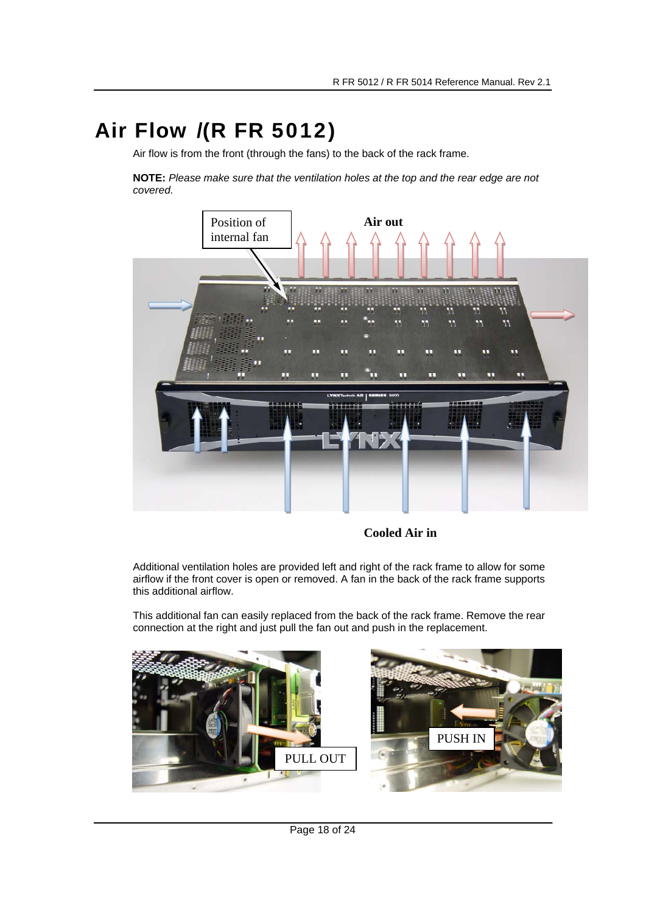# Air Flow /(R FR 5012)

Air flow is from the front (through the fans) to the back of the rack frame.

**NOTE:** *Please make sure that the ventilation holes at the top and the rear edge are not covered.* 



**Cooled Air in** 

Additional ventilation holes are provided left and right of the rack frame to allow for some airflow if the front cover is open or removed. A fan in the back of the rack frame supports this additional airflow.

This additional fan can easily replaced from the back of the rack frame. Remove the rear connection at the right and just pull the fan out and push in the replacement.



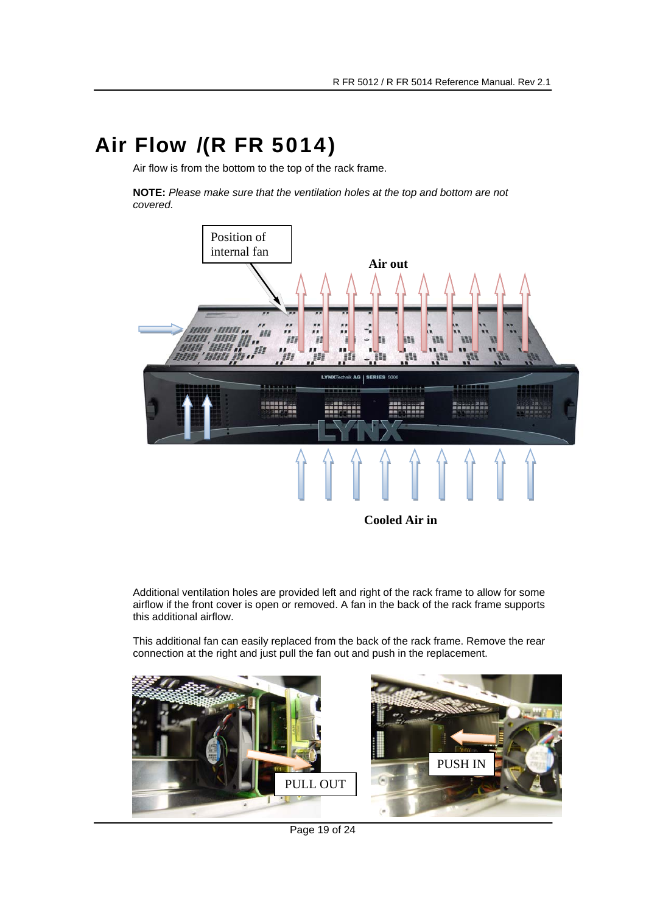# Air Flow /(R FR 5014)

Air flow is from the bottom to the top of the rack frame.

**NOTE:** *Please make sure that the ventilation holes at the top and bottom are not covered.* 



Additional ventilation holes are provided left and right of the rack frame to allow for some airflow if the front cover is open or removed. A fan in the back of the rack frame supports this additional airflow.

This additional fan can easily replaced from the back of the rack frame. Remove the rear connection at the right and just pull the fan out and push in the replacement.



Page 19 of 24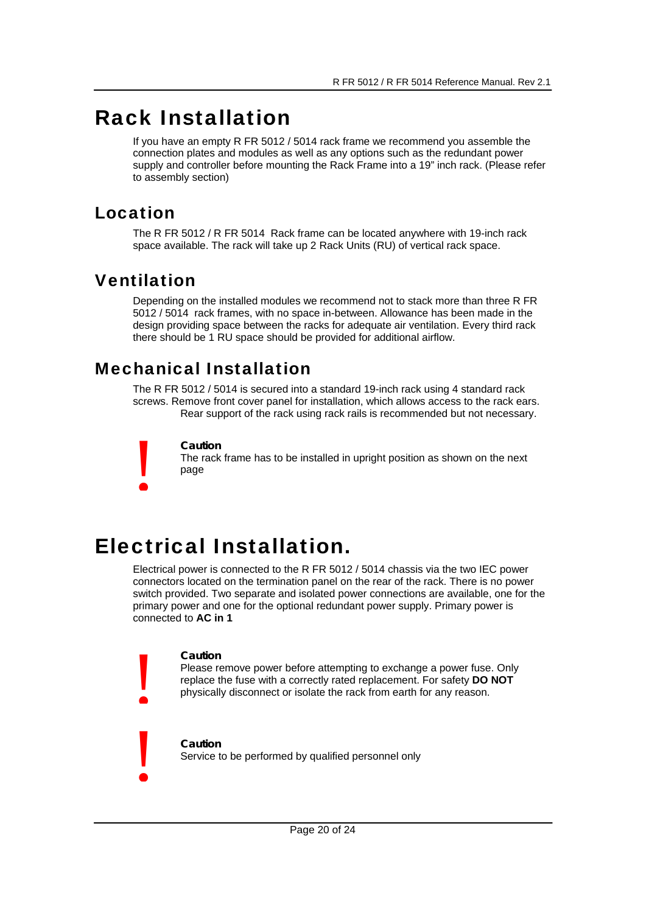# Rack Installation

If you have an empty R FR 5012 / 5014 rack frame we recommend you assemble the connection plates and modules as well as any options such as the redundant power supply and controller before mounting the Rack Frame into a 19" inch rack. (Please refer to assembly section)

## Location

The R FR 5012 / R FR 5014 Rack frame can be located anywhere with 19-inch rack space available. The rack will take up 2 Rack Units (RU) of vertical rack space.

# Ventilation

!

Depending on the installed modules we recommend not to stack more than three R FR 5012 / 5014 rack frames, with no space in-between. Allowance has been made in the design providing space between the racks for adequate air ventilation. Every third rack there should be 1 RU space should be provided for additional airflow.

# Mechanical Installation

The R FR 5012 / 5014 is secured into a standard 19-inch rack using 4 standard rack screws. Remove front cover panel for installation, which allows access to the rack ears. Rear support of the rack using rack rails is recommended but not necessary.

#### **Caution**

The rack frame has to be installed in upright position as shown on the next page

# Electrical Installation.

Electrical power is connected to the R FR 5012 / 5014 chassis via the two IEC power connectors located on the termination panel on the rear of the rack. There is no power switch provided. Two separate and isolated power connections are available, one for the primary power and one for the optional redundant power supply. Primary power is connected to **AC in 1**

#### **Caution**

!

!

Please remove power before attempting to exchange a power fuse. Only replace the fuse with a correctly rated replacement. For safety **DO NOT** physically disconnect or isolate the rack from earth for any reason.

#### **Caution**  Service to be performed by qualified personnel only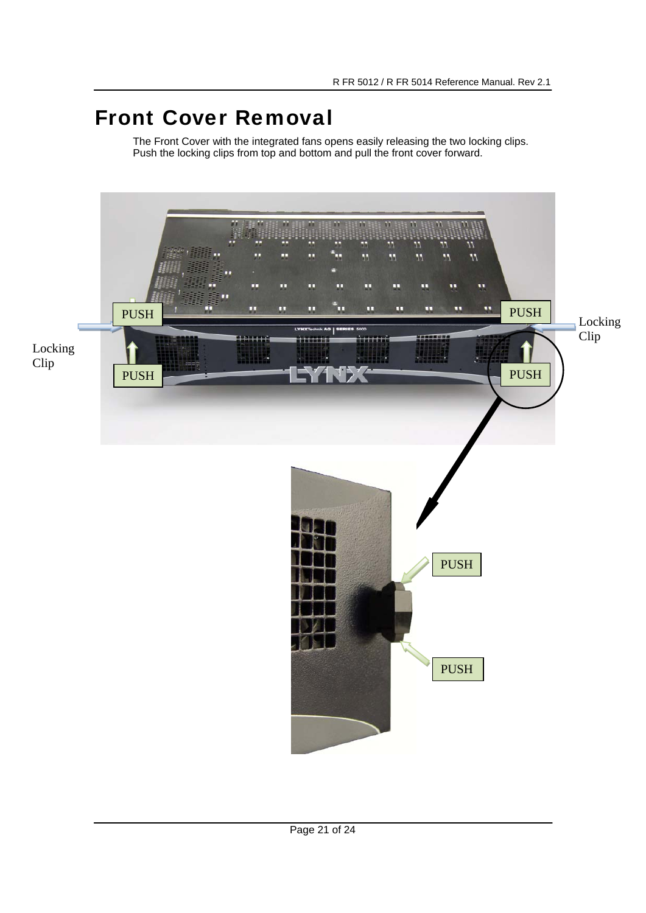# Front Cover Removal

The Front Cover with the integrated fans opens easily releasing the two locking clips. Push the locking clips from top and bottom and pull the front cover forward.

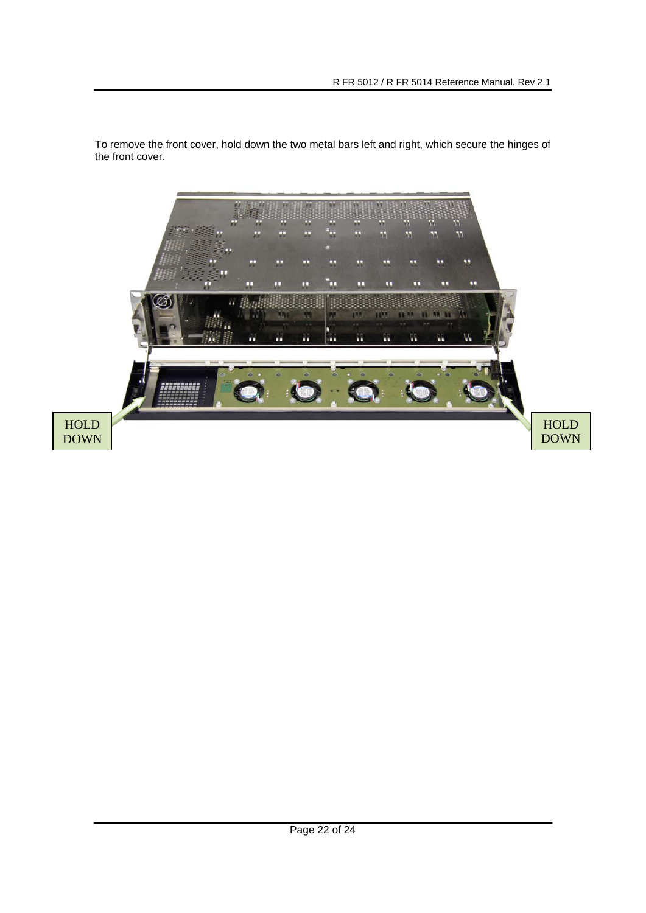

To remove the front cover, hold down the two metal bars left and right, which secure the hinges of the front cover.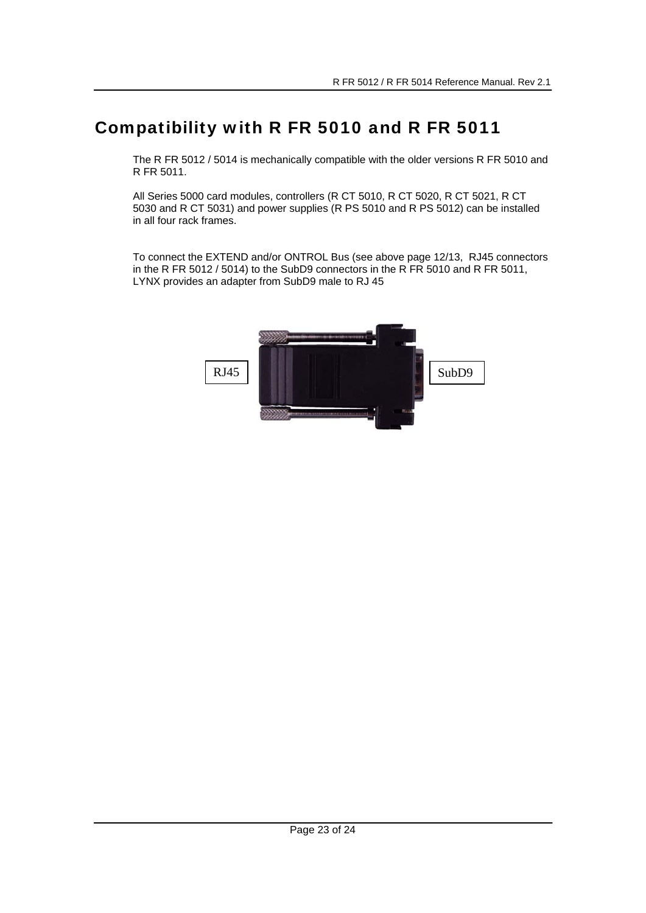# Compatibility with R FR 5010 and R FR 5011

The R FR 5012 / 5014 is mechanically compatible with the older versions R FR 5010 and R FR 5011.

All Series 5000 card modules, controllers (R CT 5010, R CT 5020, R CT 5021, R CT 5030 and R CT 5031) and power supplies (R PS 5010 and R PS 5012) can be installed in all four rack frames.

To connect the EXTEND and/or ONTROL Bus (see above page 12/13, RJ45 connectors in the R FR 5012 / 5014) to the SubD9 connectors in the R FR 5010 and R FR 5011, LYNX provides an adapter from SubD9 male to RJ 45

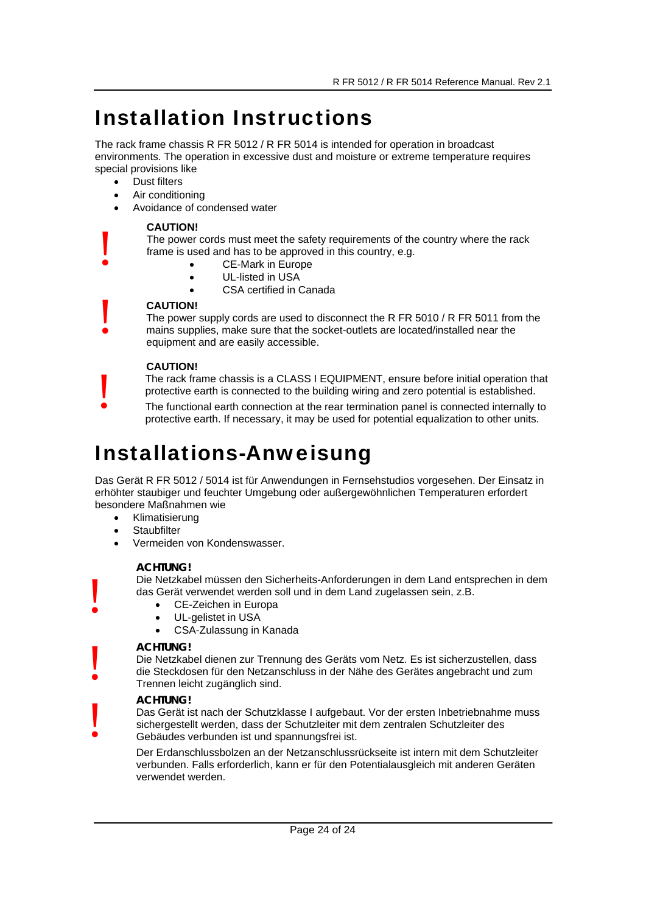# Installation Instructions

The rack frame chassis R FR 5012 / R FR 5014 is intended for operation in broadcast environments. The operation in excessive dust and moisture or extreme temperature requires special provisions like

• Dust filters

!

!

!

!

!

!

- Air conditioning
- Avoidance of condensed water

#### **CAUTION!**

The power cords must meet the safety requirements of the country where the rack frame is used and has to be approved in this country, e.g.

- CE-Mark in Europe
- UL-listed in USA
- CSA certified in Canada

#### **CAUTION!**

The power supply cords are used to disconnect the R FR 5010 / R FR 5011 from the mains supplies, make sure that the socket-outlets are located/installed near the equipment and are easily accessible.

#### **CAUTION!**

The rack frame chassis is a CLASS I EQUIPMENT, ensure before initial operation that protective earth is connected to the building wiring and zero potential is established.

The functional earth connection at the rear termination panel is connected internally to protective earth. If necessary, it may be used for potential equalization to other units.

# Installations-Anweisung

Das Gerät R FR 5012 / 5014 ist für Anwendungen in Fernsehstudios vorgesehen. Der Einsatz in erhöhter staubiger und feuchter Umgebung oder außergewöhnlichen Temperaturen erfordert besondere Maßnahmen wie

- Klimatisierung
- **Staubfilter**
- Vermeiden von Kondenswasser.

#### **ACHTUNG!**

Die Netzkabel müssen den Sicherheits-Anforderungen in dem Land entsprechen in dem das Gerät verwendet werden soll und in dem Land zugelassen sein, z.B.

- CE-Zeichen in Europa
- UL-gelistet in USA
- CSA-Zulassung in Kanada

#### **ACHTUNG!**

Die Netzkabel dienen zur Trennung des Geräts vom Netz. Es ist sicherzustellen, dass die Steckdosen für den Netzanschluss in der Nähe des Gerätes angebracht und zum Trennen leicht zugänglich sind.

#### **ACHTUNG!**

Das Gerät ist nach der Schutzklasse I aufgebaut. Vor der ersten Inbetriebnahme muss sichergestellt werden, dass der Schutzleiter mit dem zentralen Schutzleiter des Gebäudes verbunden ist und spannungsfrei ist.

Der Erdanschlussbolzen an der Netzanschlussrückseite ist intern mit dem Schutzleiter verbunden. Falls erforderlich, kann er für den Potentialausgleich mit anderen Geräten verwendet werden.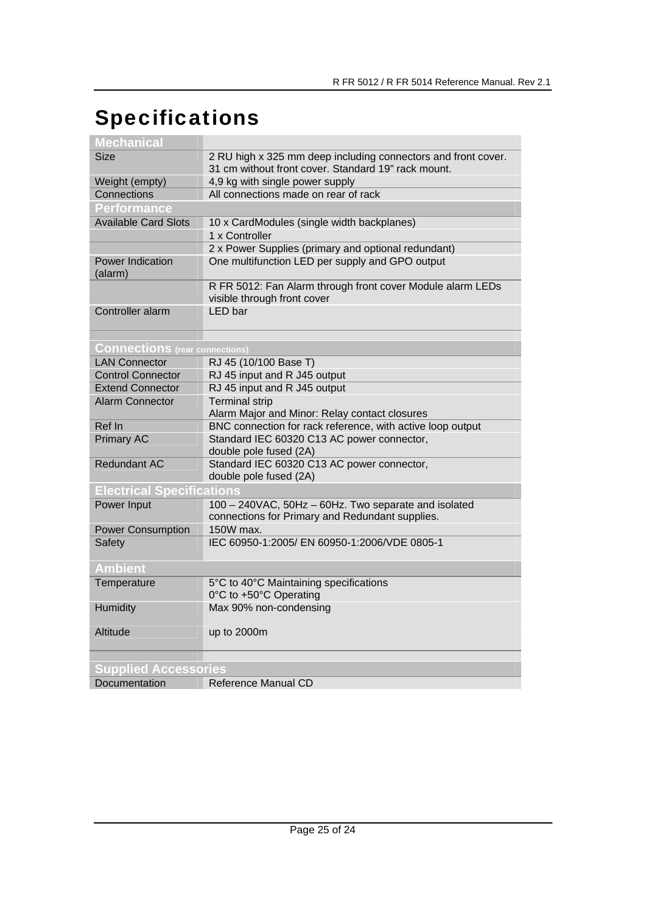# Specifications

| Mechanical                            |                                                                                                                      |
|---------------------------------------|----------------------------------------------------------------------------------------------------------------------|
| <b>Size</b>                           | 2 RU high x 325 mm deep including connectors and front cover.<br>31 cm without front cover. Standard 19" rack mount. |
| Weight (empty)                        | 4,9 kg with single power supply                                                                                      |
| Connections                           | All connections made on rear of rack                                                                                 |
| <b>Performance</b>                    |                                                                                                                      |
| <b>Available Card Slots</b>           | 10 x CardModules (single width backplanes)                                                                           |
|                                       | 1 x Controller                                                                                                       |
|                                       | 2 x Power Supplies (primary and optional redundant)                                                                  |
| <b>Power Indication</b><br>(alarm)    | One multifunction LED per supply and GPO output                                                                      |
|                                       | R FR 5012: Fan Alarm through front cover Module alarm LEDs<br>visible through front cover                            |
| Controller alarm                      | <b>LED</b> bar                                                                                                       |
|                                       |                                                                                                                      |
| <b>Connections</b> (rear connections) |                                                                                                                      |
| <b>LAN Connector</b>                  | RJ 45 (10/100 Base T)                                                                                                |
| <b>Control Connector</b>              | RJ 45 input and R J45 output                                                                                         |
| <b>Extend Connector</b>               | RJ 45 input and R J45 output                                                                                         |
| Alarm Connector                       | <b>Terminal strip</b><br>Alarm Major and Minor: Relay contact closures                                               |
| Ref In                                | BNC connection for rack reference, with active loop output                                                           |
| <b>Primary AC</b>                     | Standard IEC 60320 C13 AC power connector,<br>double pole fused (2A)                                                 |
| <b>Redundant AC</b>                   | Standard IEC 60320 C13 AC power connector,<br>double pole fused (2A)                                                 |
| <b>Electrical Specifications</b>      |                                                                                                                      |
| Power Input                           | 100 - 240VAC, 50Hz - 60Hz. Two separate and isolated<br>connections for Primary and Redundant supplies.              |
| <b>Power Consumption</b>              | 150W max.                                                                                                            |
| Safety                                | IEC 60950-1:2005/ EN 60950-1:2006/VDE 0805-1                                                                         |
| <b>Ambient</b>                        |                                                                                                                      |
| Temperature                           | 5°C to 40°C Maintaining specifications<br>0°C to +50°C Operating                                                     |
| Humidity                              | Max 90% non-condensing                                                                                               |
| Altitude                              | up to 2000m                                                                                                          |
| <b>Supplied Accessories</b>           |                                                                                                                      |
| Documentation                         | Reference Manual CD                                                                                                  |
|                                       |                                                                                                                      |